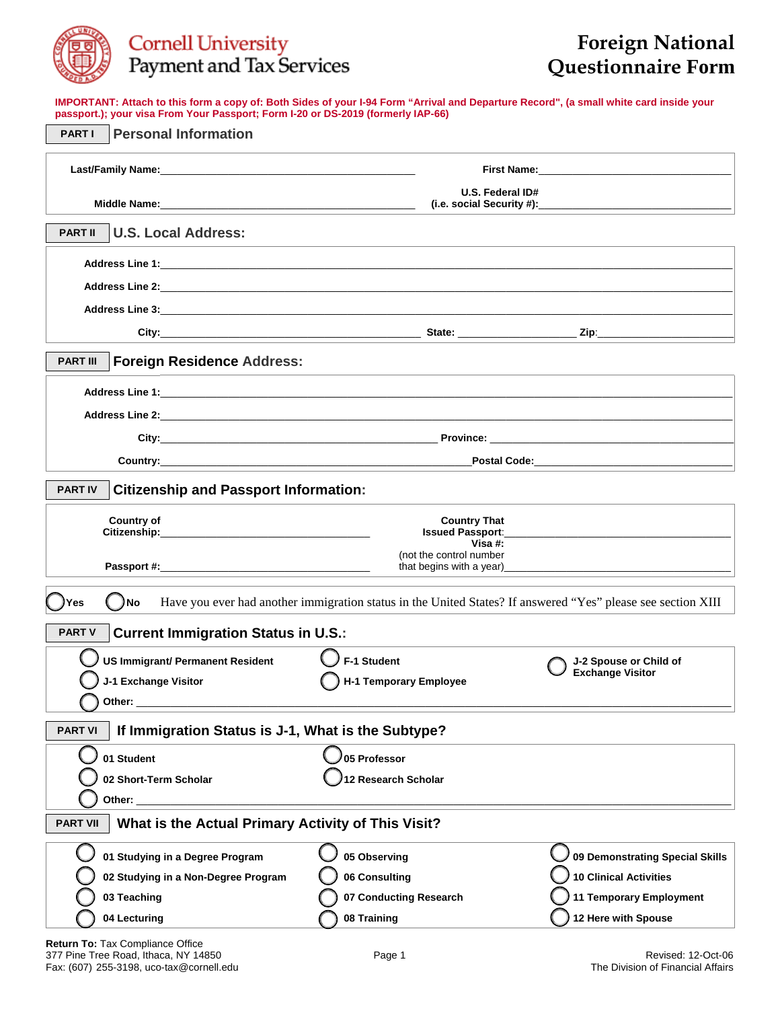

## Cornell University<br>Payment and Tax Services

## **Foreign National Questionnaire Form**

**IMPORTANT: Attach to this form a copy of: Both Sides of your I-94 Form "Arrival and Departure Record", (a small white card inside your passport.); your visa From Your Passport; Form I-20 or DS-2019 (formerly IAP-66)** 

| <b>Personal Information</b><br><b>PARTI</b>                                                                                 |                                                                                                                                                                                                                                              |                                 |  |  |  |  |  |  |
|-----------------------------------------------------------------------------------------------------------------------------|----------------------------------------------------------------------------------------------------------------------------------------------------------------------------------------------------------------------------------------------|---------------------------------|--|--|--|--|--|--|
|                                                                                                                             |                                                                                                                                                                                                                                              |                                 |  |  |  |  |  |  |
|                                                                                                                             | U.S. Federal ID#                                                                                                                                                                                                                             |                                 |  |  |  |  |  |  |
| <b>PART II</b><br><b>U.S. Local Address:</b>                                                                                | and the control of the control of the control of the control of the control of the control of the control of the                                                                                                                             |                                 |  |  |  |  |  |  |
|                                                                                                                             |                                                                                                                                                                                                                                              |                                 |  |  |  |  |  |  |
|                                                                                                                             |                                                                                                                                                                                                                                              |                                 |  |  |  |  |  |  |
|                                                                                                                             |                                                                                                                                                                                                                                              |                                 |  |  |  |  |  |  |
|                                                                                                                             |                                                                                                                                                                                                                                              |                                 |  |  |  |  |  |  |
| <b>Foreign Residence Address:</b><br><b>PART III</b>                                                                        |                                                                                                                                                                                                                                              |                                 |  |  |  |  |  |  |
|                                                                                                                             |                                                                                                                                                                                                                                              |                                 |  |  |  |  |  |  |
|                                                                                                                             |                                                                                                                                                                                                                                              |                                 |  |  |  |  |  |  |
|                                                                                                                             |                                                                                                                                                                                                                                              |                                 |  |  |  |  |  |  |
|                                                                                                                             |                                                                                                                                                                                                                                              |                                 |  |  |  |  |  |  |
| <b>PART IV</b><br><b>Citizenship and Passport Information:</b>                                                              |                                                                                                                                                                                                                                              |                                 |  |  |  |  |  |  |
| <b>Country of</b>                                                                                                           | <b>Country That</b>                                                                                                                                                                                                                          |                                 |  |  |  |  |  |  |
|                                                                                                                             | Issued Passport: New York State Street, New York Street, New York Street, New York Street, New York Street, New York Street, New York Street, New York Street, New York Street, New York Street, New York Street, New York Str<br>Visa $#$ : |                                 |  |  |  |  |  |  |
|                                                                                                                             | (not the control number<br>that begins with a year) that is a set of the set of the set of the set of the set of the set of the set of the                                                                                                   |                                 |  |  |  |  |  |  |
| Have you ever had another immigration status in the United States? If answered "Yes" please see section XIII<br>) No<br>Yes |                                                                                                                                                                                                                                              |                                 |  |  |  |  |  |  |
| <b>Current Immigration Status in U.S.:</b><br><b>PART V</b>                                                                 |                                                                                                                                                                                                                                              |                                 |  |  |  |  |  |  |
| <b>US Immigrant/ Permanent Resident</b>                                                                                     | F-1 Student                                                                                                                                                                                                                                  | J-2 Spouse or Child of          |  |  |  |  |  |  |
| J-1 Exchange Visitor                                                                                                        | H-1 Temporary Employee                                                                                                                                                                                                                       | <b>Exchange Visitor</b>         |  |  |  |  |  |  |
| Other:                                                                                                                      |                                                                                                                                                                                                                                              |                                 |  |  |  |  |  |  |
| If Immigration Status is J-1, What is the Subtype?<br><b>PART VI</b>                                                        |                                                                                                                                                                                                                                              |                                 |  |  |  |  |  |  |
| 01 Student                                                                                                                  | 05 Professor                                                                                                                                                                                                                                 |                                 |  |  |  |  |  |  |
| 02 Short-Term Scholar                                                                                                       | 12 Research Scholar                                                                                                                                                                                                                          |                                 |  |  |  |  |  |  |
| Other:                                                                                                                      |                                                                                                                                                                                                                                              |                                 |  |  |  |  |  |  |
| What is the Actual Primary Activity of This Visit?<br><b>PART VII</b>                                                       |                                                                                                                                                                                                                                              |                                 |  |  |  |  |  |  |
| 01 Studying in a Degree Program                                                                                             | 05 Observing                                                                                                                                                                                                                                 | 09 Demonstrating Special Skills |  |  |  |  |  |  |
| 02 Studying in a Non-Degree Program                                                                                         | 06 Consulting                                                                                                                                                                                                                                | <b>10 Clinical Activities</b>   |  |  |  |  |  |  |
| 03 Teaching                                                                                                                 | 07 Conducting Research                                                                                                                                                                                                                       | <b>11 Temporary Employment</b>  |  |  |  |  |  |  |
| 04 Lecturing                                                                                                                | 08 Training                                                                                                                                                                                                                                  | 12 Here with Spouse             |  |  |  |  |  |  |